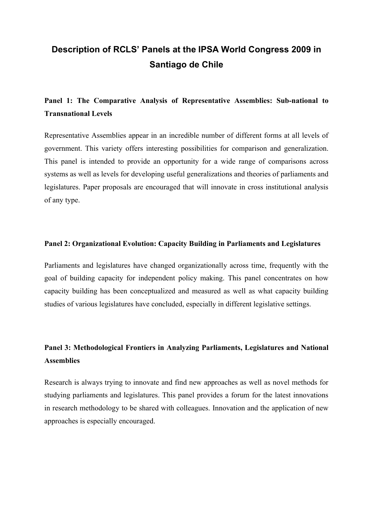# **Description of RCLS' Panels at the IPSA World Congress 2009 in Santiago de Chile**

## **Panel 1: The Comparative Analysis of Representative Assemblies: Sub-national to Transnational Levels**

Representative Assemblies appear in an incredible number of different forms at all levels of government. This variety offers interesting possibilities for comparison and generalization. This panel is intended to provide an opportunity for a wide range of comparisons across systems as well as levels for developing useful generalizations and theories of parliaments and legislatures. Paper proposals are encouraged that will innovate in cross institutional analysis of any type.

#### **Panel 2: Organizational Evolution: Capacity Building in Parliaments and Legislatures**

Parliaments and legislatures have changed organizationally across time, frequently with the goal of building capacity for independent policy making. This panel concentrates on how capacity building has been conceptualized and measured as well as what capacity building studies of various legislatures have concluded, especially in different legislative settings.

### **Panel 3: Methodological Frontiers in Analyzing Parliaments, Legislatures and National Assemblies**

Research is always trying to innovate and find new approaches as well as novel methods for studying parliaments and legislatures. This panel provides a forum for the latest innovations in research methodology to be shared with colleagues. Innovation and the application of new approaches is especially encouraged.